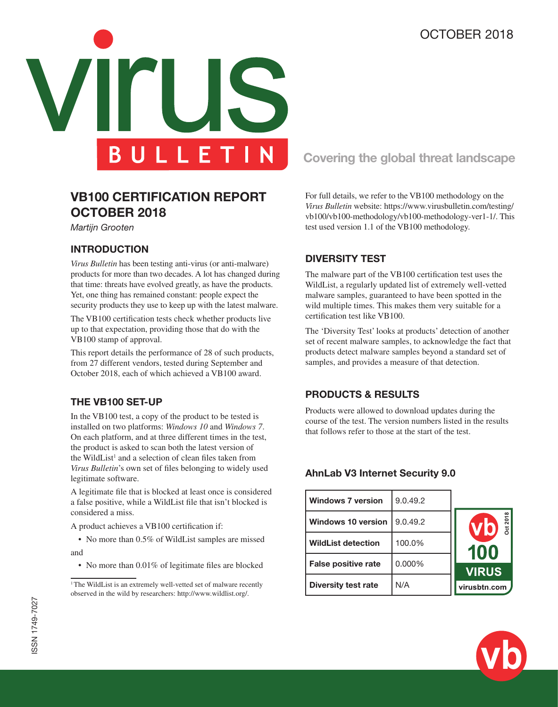# OCTOBER 2018



# **VB100 CERTIFICATION REPORT OCTOBER 2018**

*Martijn Grooten*

#### **INTRODUCTION**

*Virus Bulletin* has been testing anti-virus (or anti-malware) products for more than two decades. A lot has changed during that time: threats have evolved greatly, as have the products. Yet, one thing has remained constant: people expect the security products they use to keep up with the latest malware.

The VB100 certification tests check whether products live up to that expectation, providing those that do with the VB100 stamp of approval.

This report details the performance of 28 of such products, from 27 different vendors, tested during September and October 2018, each of which achieved a VB100 award.

#### **THE VB100 SET-UP**

In the VB100 test, a copy of the product to be tested is installed on two platforms: *Windows 10* and *Windows 7*. On each platform, and at three different times in the test, the product is asked to scan both the latest version of the WildList<sup>1</sup> and a selection of clean files taken from *Virus Bulletin*'s own set of files belonging to widely used legitimate software.

A legitimate file that is blocked at least once is considered a false positive, while a WildList file that isn't blocked is considered a miss.

A product achieves a VB100 certification if:

• No more than 0.5% of WildList samples are missed and

• No more than 0.01% of legitimate files are blocked

# **Covering the global threat landscape**

For full details, we refer to the VB100 methodology on the *Virus Bulletin* website: https://www.virusbulletin.com/testing/ vb100/vb100-methodology/vb100-methodology-ver1-1/. This test used version 1.1 of the VB100 methodology.

#### **DIVERSITY TEST**

The malware part of the VB100 certification test uses the WildList, a regularly updated list of extremely well-vetted malware samples, guaranteed to have been spotted in the wild multiple times. This makes them very suitable for a certification test like VB100.

The 'Diversity Test' looks at products' detection of another set of recent malware samples, to acknowledge the fact that products detect malware samples beyond a standard set of samples, and provides a measure of that detection.

#### **PRODUCTS & RESULTS**

Products were allowed to download updates during the course of the test. The version numbers listed in the results that follows refer to those at the start of the test.

#### **AhnLab V3 Internet Security 9.0**

| <b>Windows 7 version</b>   | 9.0.49.2 |                |
|----------------------------|----------|----------------|
| <b>Windows 10 version</b>  | 9.0.49.2 | Dct 2018<br>Vb |
| <b>WildList detection</b>  | 100.0%   | 100            |
| <b>False positive rate</b> | 0.000%   | <b>VIRUS</b>   |
| Diversity test rate        | N/A      | virusbtn.com   |



<sup>&</sup>lt;sup>1</sup> The WildList is an extremely well-vetted set of malware recently observed in the wild by researchers: http://www.wildlist.org/.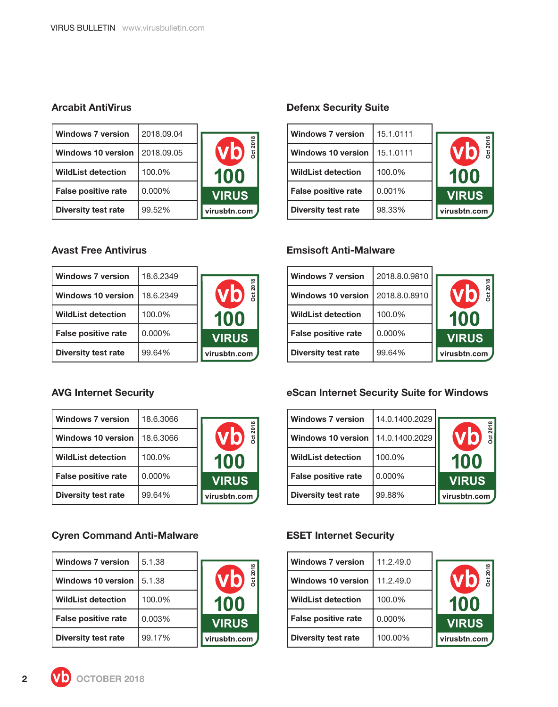### **Arcabit AntiVirus**

| <b>Windows 7 version</b>   | 2018.09.04 |                               |
|----------------------------|------------|-------------------------------|
| <b>Windows 10 version</b>  | 2018.09.05 | VC<br>$\overline{\mathbf{z}}$ |
| <b>WildList detection</b>  | 100.0%     | 100                           |
| <b>False positive rate</b> | 0.000%     | <b>VIRUS</b>                  |
| <b>Diversity test rate</b> | 99.52%     | virusbtn.com                  |

## **Avast Free Antivirus**

| <b>Windows 7 version</b>   | 18.6.2349 |              |
|----------------------------|-----------|--------------|
| <b>Windows 10 version</b>  | 18.6.2349 | Det 201      |
| <b>WildList detection</b>  | 100.0%    | 100          |
| <b>False positive rate</b> | 0.000%    | <b>VIRUS</b> |
| <b>Diversity test rate</b> | 99.64%    | virusbtn.com |

## **AVG Internet Security**

| <b>Windows 7 version</b>   | 18.6.3066 |                               |
|----------------------------|-----------|-------------------------------|
| <b>Windows 10 version</b>  | 18.6.3066 | <b>Det 201</b><br><b>Vi</b> o |
| <b>WildList detection</b>  | 100.0%    | 100                           |
| <b>False positive rate</b> | 0.000%    | <b>VIRUS</b>                  |
| <b>Diversity test rate</b> | 99.64%    | virusbtn.com                  |

**Oct 2018**

## **Cyren Command Anti-Malware**

| <b>Windows 7 version</b>   | 5.1.38 |                              |
|----------------------------|--------|------------------------------|
| <b>Windows 10 version</b>  | 5.1.38 | <b>Dct 2018</b><br><b>VO</b> |
| <b>WildList detection</b>  | 100.0% | 100                          |
| <b>False positive rate</b> | 0.003% | <b>VIRUS</b>                 |
| <b>Diversity test rate</b> | 99.17% | virusbtn.com                 |

## **Defenx Security Suite**

| <b>Windows 7 version</b>   | 15.1.0111 |                        |
|----------------------------|-----------|------------------------|
|                            |           |                        |
| <b>Windows 10 version</b>  | 15.1.0111 | <b>Dct 2018</b><br>VI) |
| <b>WildList detection</b>  | 100.0%    | 100                    |
| <b>False positive rate</b> | 0.001%    | <b>VIRUS</b>           |
| <b>Diversity test rate</b> | 98.33%    | virusbtn.com           |

### **Emsisoft Anti-Malware**

| <b>Windows 7 version</b>   | 2018.8.0.9810 |                       |
|----------------------------|---------------|-----------------------|
| <b>Windows 10 version</b>  | 2018.8.0.8910 | <b>Dct 2018</b><br>VC |
| <b>WildList detection</b>  | 100.0%        | 100                   |
| <b>False positive rate</b> | 0.000%        | <b>VIRUS</b>          |
| <b>Diversity test rate</b> | 99.64%        | virusbtn.com          |

## **eScan Internet Security Suite for Windows**

| <b>Windows 7 version</b>   | 14.0.1400.2029 |                      |
|----------------------------|----------------|----------------------|
| <b>Windows 10 version</b>  | 14.0.1400.2029 | <b>Dct 201</b><br>Vb |
| <b>WildList detection</b>  | 100.0%         | 100                  |
| <b>False positive rate</b> | 0.000%         | <b>VIRUS</b>         |
| <b>Diversity test rate</b> | 99.88%         | virusbtn.com         |

## **ESET Internet Security**

| <b>Windows 7 version</b>   | 11.2.49.0 |        |
|----------------------------|-----------|--------|
| Windows 10 version         | 11.2.49.0 |        |
| <b>WildList detection</b>  | 100.0%    |        |
| <b>False positive rate</b> | 0.000%    | WI :   |
| <b>Diversity test rate</b> | 100.00%   | virusb |



**Oct 2018**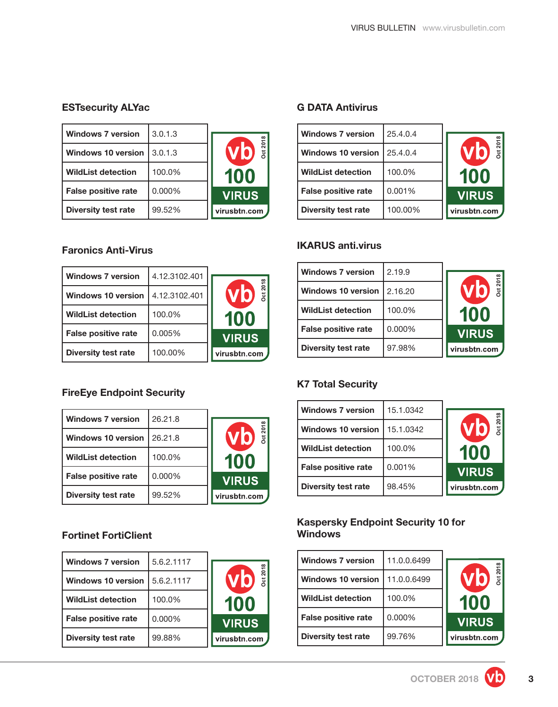**Oct 2018**

## **ESTsecurity ALYac**

| <b>Windows 7 version</b>   | 3.0.1.3 |                       |
|----------------------------|---------|-----------------------|
| <b>Windows 10 version</b>  | 3.0.1.3 | <b>Dct 2018</b><br>VD |
| <b>WildList detection</b>  | 100.0%  | 100                   |
| <b>False positive rate</b> | 0.000%  | <b>VIRUS</b>          |
| <b>Diversity test rate</b> | 99.52%  | virusbtn.com          |

## **Faronics Anti-Virus**

| <b>Windows 7 version</b>   | 4.12.3102.401 |                |
|----------------------------|---------------|----------------|
| <b>Windows 10 version</b>  | 4.12.3102.401 | Oct 2018<br>VD |
| <b>WildList detection</b>  | 100.0%        | 100            |
| <b>False positive rate</b> | 0.005%        | <b>VIRUS</b>   |
| <b>Diversity test rate</b> | 100.00%       | virusbtn.com   |

## **FireEye Endpoint Security**

| <b>Windows 7 version</b>   | 26.21.8 |              |
|----------------------------|---------|--------------|
| Windows 10 version 1       | 26.21.8 | Oct 2018     |
| <b>WildList detection</b>  | 100.0%  | 100          |
| <b>False positive rate</b> | 0.000%  | <b>VIRUS</b> |
| <b>Diversity test rate</b> | 99.52%  | virusbtn.com |

## **Fortinet FortiClient**

| <b>Windows 7 version</b>   | 5.6.2.1117 |               |
|----------------------------|------------|---------------|
| <b>Windows 10 version</b>  | 5.6.2.1117 | Dct 201<br>VI |
| <b>WildList detection</b>  | 100.0%     | 100           |
| <b>False positive rate</b> | 0.000%     | <b>VIRUS</b>  |
| <b>Diversity test rate</b> | 99.88%     | virusbtn.com  |

#### **G DATA Antivirus**

| <b>Windows 7 version</b>   | 25.4.0.4 |                       |
|----------------------------|----------|-----------------------|
| <b>Windows 10 version</b>  | 25.4.0.4 | <b>Dct 2018</b><br>Vb |
| <b>WildList detection</b>  | 100.0%   | 100                   |
| <b>False positive rate</b> | 0.001%   | <b>VIRUS</b>          |
| <b>Diversity test rate</b> | 100.00%  | virusbtn.com          |

### **IKARUS anti.virus**

| <b>Windows 7 version</b>   | 2.19.9  |                              |
|----------------------------|---------|------------------------------|
| Windows 10 version         | 2.16.20 | <b>Dct 2018</b><br><b>Vi</b> |
| <b>WildList detection</b>  | 100.0%  | 100                          |
| <b>False positive rate</b> | 0.000%  | <b>VIRUS</b>                 |
| <b>Diversity test rate</b> | 97.98%  | virusbtn.com                 |

## **K7 Total Security**

| <b>Windows 7 version</b>   | 15.1.0342 |                              |
|----------------------------|-----------|------------------------------|
| Windows 10 version 1       | 15.1.0342 | <b>Oct 2018</b><br><b>Vb</b> |
| <b>WildList detection</b>  | 100.0%    | 100                          |
| <b>False positive rate</b> | 0.001%    | <b>VIRUS</b>                 |
| <b>Diversity test rate</b> | 98.45%    | virusbtn.com                 |

### **Kaspersky Endpoint Security 10 for Windows**

| <b>Windows 7 version</b>   | 11.0.0.6499 |                             |
|----------------------------|-------------|-----------------------------|
| Windows 10 version         | 11.0.0.6499 | V0<br>$\overline{\text{c}}$ |
| <b>WildList detection</b>  | 100.0%      | 100                         |
| <b>False positive rate</b> | 0.000%      | <b>VIRUS</b>                |
| <b>Diversity test rate</b> | 99.76%      | virusbtn.com                |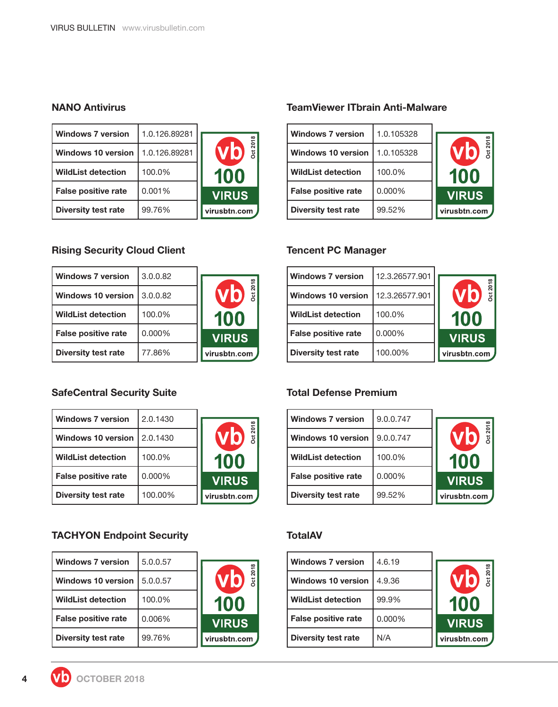### **NANO Antivirus**

| <b>Windows 7 version</b>   | 1.0.126.89281 |                |
|----------------------------|---------------|----------------|
| <b>Windows 10 version</b>  | 1.0.126.89281 | Vb<br><b>b</b> |
| <b>WildList detection</b>  | 100.0%        | 100            |
| <b>False positive rate</b> | 0.001%        | <b>VIRUS</b>   |
| <b>Diversity test rate</b> | 99.76%        | virusbtn.com   |

## **Rising Security Cloud Client**

| <b>Windows 7 version</b>   | 3.0.0.82 |                             |
|----------------------------|----------|-----------------------------|
| <b>Windows 10 version</b>  | 3.0.0.82 | <b>Dct 201</b><br><b>VO</b> |
| <b>WildList detection</b>  | 100.0%   | 100                         |
| <b>False positive rate</b> | 0.000%   | <b>VIRUS</b>                |
| <b>Diversity test rate</b> | 77.86%   | virusbtn.com                |

## **SafeCentral Security Suite**

| <b>Windows 7 version</b>   | 2.0.1430 |                      |
|----------------------------|----------|----------------------|
| Windows 10 version         | 2.0.1430 | <b>Dct 201</b><br>VC |
| <b>WildList detection</b>  | 100.0%   | 100                  |
| <b>False positive rate</b> | 0.000%   | <b>VIRUS</b>         |
| <b>Diversity test rate</b> | 100.00%  | virusbtn.com         |

## **TACHYON Endpoint Security**

| <b>Windows 7 version</b>   | 5.0.0.57 |               |
|----------------------------|----------|---------------|
| <b>Windows 10 version</b>  | 5.0.0.57 | Det 201<br>Vb |
| <b>WildList detection</b>  | 100.0%   | 100           |
| <b>False positive rate</b> | 0.006%   | <b>VIRUS</b>  |
| Diversity test rate        | 99.76%   | virusbtn.com  |

#### **TeamViewer ITbrain Anti-Malware**

| <b>Windows 7 version</b>   | 1.0.105328 |                       |
|----------------------------|------------|-----------------------|
| <b>Windows 10 version</b>  | 1.0.105328 | <b>Dct 2018</b><br>VD |
| <b>WildList detection</b>  | 100.0%     | 100                   |
| <b>False positive rate</b> | 0.000%     | <b>VIRUS</b>          |
| <b>Diversity test rate</b> | 99.52%     | virusbtn.com          |

### **Tencent PC Manager**

**Oct 2018**

| <b>Windows 7 version</b>   | 12.3.26577.901 |                       |
|----------------------------|----------------|-----------------------|
| <b>Windows 10 version</b>  | 12.3.26577.901 | <b>Dct 2018</b><br>Vb |
| <b>WildList detection</b>  | 100.0%         | 100                   |
| <b>False positive rate</b> | $0.000\%$      | <b>VIRUS</b>          |
| <b>Diversity test rate</b> | 100.00%        | virusbtn.com          |

### **Total Defense Premium**

| <b>Windows 7 version</b>   | 9.0.0.747 |                                          |
|----------------------------|-----------|------------------------------------------|
| <b>Windows 10 version</b>  | 9.0.0.747 | $\overline{201}$<br>Vb<br>$\overline{5}$ |
| <b>WildList detection</b>  | 100.0%    | 100                                      |
| <b>False positive rate</b> | 0.000%    | <b>VIRUS</b>                             |
| <b>Diversity test rate</b> | 99.52%    | virusbtn.com                             |

#### **TotalAV**

| <b>Windows 7 version</b>   | 4.6.19 |  |
|----------------------------|--------|--|
| Windows 10 version         | 4.9.36 |  |
| <b>WildList detection</b>  | 99.9%  |  |
| <b>False positive rate</b> | 0.000% |  |
| <b>Diversity test rate</b> | N/A    |  |



**Oct 2018**